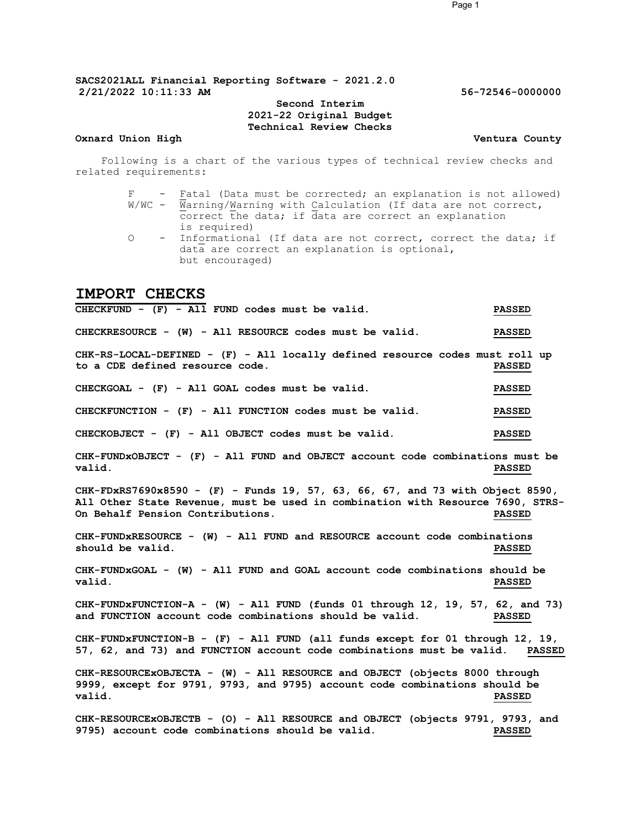## Second Interim 2021-22 Original Budget Technical Review Checks

## Oxnard Union High Ventura County

Following is a chart of the various types of technical review checks and related requirements:

- F Fatal (Data must be corrected; an explanation is not allowed)  $W/WC$  -  $\overline{W}$ arning/ $W$ arning with Calculation (If data are not correct, correct the data; if data are correct an explanation is required)
- O Informational (If data are not correct, correct the data; if data are correct an explanation is optional, but encouraged)

# IMPORT CHECKS

CHECKFUND - (F) - All FUND codes must be valid. PASSED CHECKRESOURCE - (W) - All RESOURCE codes must be valid. PASSED CHK-RS-LOCAL-DEFINED - (F) - All locally defined resource codes must roll up to a CDE defined resource code. PASSED CHECKGOAL - (F) - All GOAL codes must be valid. PASSED CHECKFUNCTION - (F) - All FUNCTION codes must be valid. PASSED CHECKOBJECT - (F) - All OBJECT codes must be valid. PASSED CHK-FUNDxOBJECT - (F) - All FUND and OBJECT account code combinations must be valid. PASSED CHK-FDxRS7690x8590 - (F) - Funds 19, 57, 63, 66, 67, and 73 with Object 8590, All Other State Revenue, must be used in combination with Resource 7690, STRS-<br>On Behalf Pension Contributions. This resource a passed On Behalf Pension Contributions. CHK-FUNDxRESOURCE - (W) - All FUND and RESOURCE account code combinations should be valid. The value of the state of the state of the state of the state of the state of the state of the state of the state of the state of the state of the state of the state of the state of the state of the state CHK-FUNDxGOAL - (W) - All FUND and GOAL account code combinations should be valid. PASSED CHK-FUNDxFUNCTION-A - (W) - All FUND (funds 01 through 12, 19, 57, 62, and 73) and FUNCTION account code combinations should be valid. PASSED CHK-FUNDxFUNCTION-B - (F) - All FUND (all funds except for 01 through 12, 19, 57, 62, and 73) and FUNCTION account code combinations must be valid. PASSED CHK-RESOURCExOBJECTA - (W) - All RESOURCE and OBJECT (objects 8000 through 9999, except for 9791, 9793, and 9795) account code combinations should be valid. PASSED CHK-RESOURCEXOBJECTB - (O) - All RESOURCE and OBJECT (objects 9791, 9793, and 9795) cccount code combinations should be valid. 9795) account code combinations should be valid.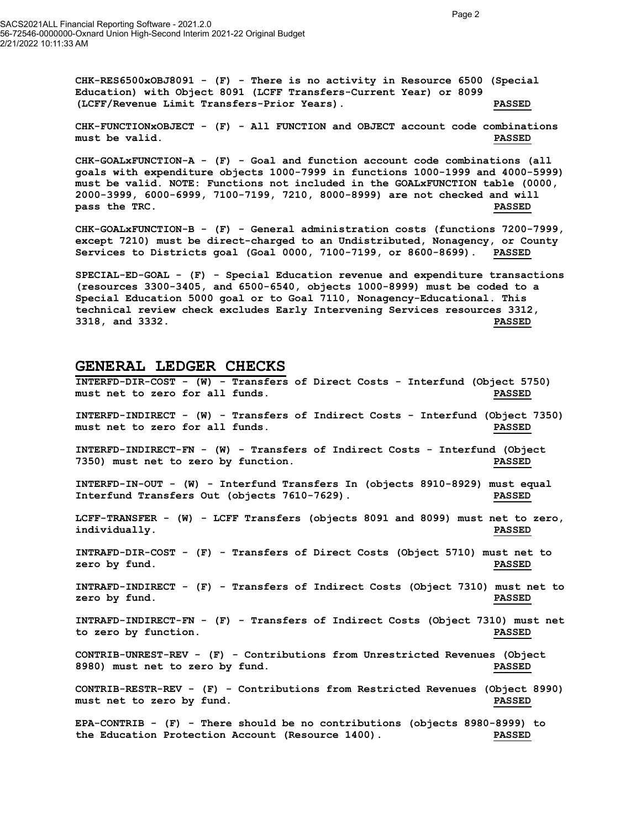$CHK-RES6500xOBJ8091$  - (F) - There is no activity in Resource 6500 (Special Education) with Object 8091 (LCFF Transfers-Current Year) or 8099 (LCFF/Revenue Limit Transfers-Prior Years). PASSED

CHK-FUNCTIONxOBJECT - (F) - All FUNCTION and OBJECT account code combinations must be valid. PASSED

CHK-GOALxFUNCTION-A - (F) - Goal and function account code combinations (all goals with expenditure objects 1000-7999 in functions 1000-1999 and 4000-5999) must be valid. NOTE: Functions not included in the GOALxFUNCTION table (0000, 2000-3999, 6000-6999, 7100-7199, 7210, 8000-8999) are not checked and will pass the TRC. The Communication of the Communication of the Communication of the Communication of the Communication of the Communication of the Communication of the Communication of the Communication of the Communication o

CHK-GOALxFUNCTION-B - (F) - General administration costs (functions 7200-7999, except 7210) must be direct-charged to an Undistributed, Nonagency, or County Services to Districts goal (Goal 0000, 7100-7199, or 8600-8699). PASSED

SPECIAL-ED-GOAL - (F) - Special Education revenue and expenditure transactions (resources 3300-3405, and 6500-6540, objects 1000-8999) must be coded to a Special Education 5000 goal or to Goal 7110, Nonagency-Educational. This technical review check excludes Early Intervening Services resources 3312, 3318, and 3332. PASSED

## GENERAL LEDGER CHECKS

INTERFD-DIR-COST - (W) - Transfers of Direct Costs - Interfund (Object 5750) must net to zero for all funds. PASSED INTERFD-INDIRECT - (W) - Transfers of Indirect Costs - Interfund (Object 7350) must net to zero for all funds. PASSED INTERFD-INDIRECT-FN - (W) - Transfers of Indirect Costs - Interfund (Object 7350) must net to zero by function. PASSED INTERFD-IN-OUT - (W) - Interfund Transfers In (objects 8910-8929) must equal Interfund Transfers Out (objects 7610-7629). PASSED LCFF-TRANSFER - (W) - LCFF Transfers (objects 8091 and 8099) must net to zero, individually. PASSED INTRAFD-DIR-COST - (F) - Transfers of Direct Costs (Object 5710) must net to zero by fund. Notice that the extent of the extent of the extent of the extent of the extent of the extent of the extent of the extent of the extent of the extent of the extent of the extent of the extent of the extent of INTRAFD-INDIRECT - (F) - Transfers of Indirect Costs (Object 7310) must net to zero by fund. Notice that the extent of the extent of the extent of the extent of the extent of the extent of the extent of the extent of the extent of the extent of the extent of the extent of the extent of the extent of INTRAFD-INDIRECT-FN - (F) - Transfers of Indirect Costs (Object 7310) must net to zero by function. PASSED CONTRIB-UNREST-REV - (F) - Contributions from Unrestricted Revenues (Object 8980) must net to zero by fund. PASSED CONTRIB-RESTR-REV - (F) - Contributions from Restricted Revenues (Object 8990) must net to zero by fund. The set of the set of the set of the set of the set of the set of the set of the set of the set of the set of the set of the set of the set of the set of the set of the set of the set of the set o EPA-CONTRIB - (F) - There should be no contributions (objects 8980-8999) to

the Education Protection Account (Resource 1400). PASSED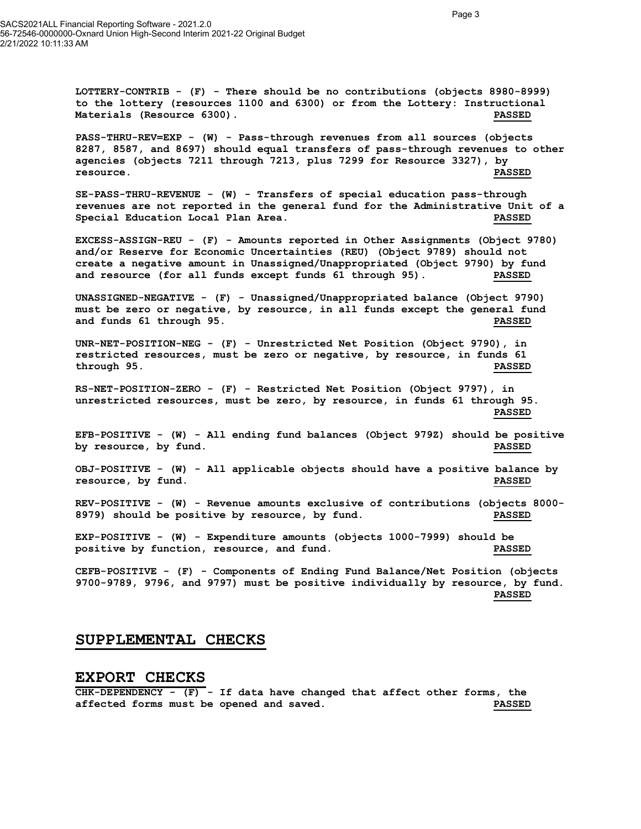LOTTERY-CONTRIB - (F) - There should be no contributions (objects 8980-8999) to the lottery (resources 1100 and 6300) or from the Lottery: Instructional Materials (Resource 6300). PASSED

PASS-THRU-REV=EXP - (W) - Pass-through revenues from all sources (objects 8287, 8587, and 8697) should equal transfers of pass-through revenues to other agencies (objects 7211 through 7213, plus 7299 for Resource 3327), by resource. PASSED

SE-PASS-THRU-REVENUE - (W) - Transfers of special education pass-through revenues are not reported in the general fund for the Administrative Unit of a Special Education Local Plan Area. PASSED

EXCESS-ASSIGN-REU - (F) - Amounts reported in Other Assignments (Object 9780) and/or Reserve for Economic Uncertainties (REU) (Object 9789) should not create a negative amount in Unassigned/Unappropriated (Object 9790) by fund and resource (for all funds except funds 61 through 95). PASSED

UNASSIGNED-NEGATIVE - (F) - Unassigned/Unappropriated balance (Object 9790) must be zero or negative, by resource, in all funds except the general fund and funds 61 through 95. PASSED

UNR-NET-POSITION-NEG - (F) - Unrestricted Net Position (Object 9790), in restricted resources, must be zero or negative, by resource, in funds 61 through 95. PASSED

RS-NET-POSITION-ZERO - (F) - Restricted Net Position (Object 9797), in unrestricted resources, must be zero, by resource, in funds 61 through 95. PASSED

EFB-POSITIVE - (W) - All ending fund balances (Object 979Z) should be positive by resource, by fund. PASSED

OBJ-POSITIVE - (W) - All applicable objects should have a positive balance by resource, by fund. PASSED

REV-POSITIVE - (W) - Revenue amounts exclusive of contributions (objects 8000- 8979) should be positive by resource, by fund. PASSED

EXP-POSITIVE - (W) - Expenditure amounts (objects 1000-7999) should be positive by function, resource, and fund. PASSED

CEFB-POSITIVE - (F) - Components of Ending Fund Balance/Net Position (objects 9700-9789, 9796, and 9797) must be positive individually by resource, by fund. PASSED

## SUPPLEMENTAL CHECKS

### EXPORT CHECKS

 $CHK-DEPENDENCY - (F) - If data have changed that affect other forms, the$ affected forms must be opened and saved. PASSED